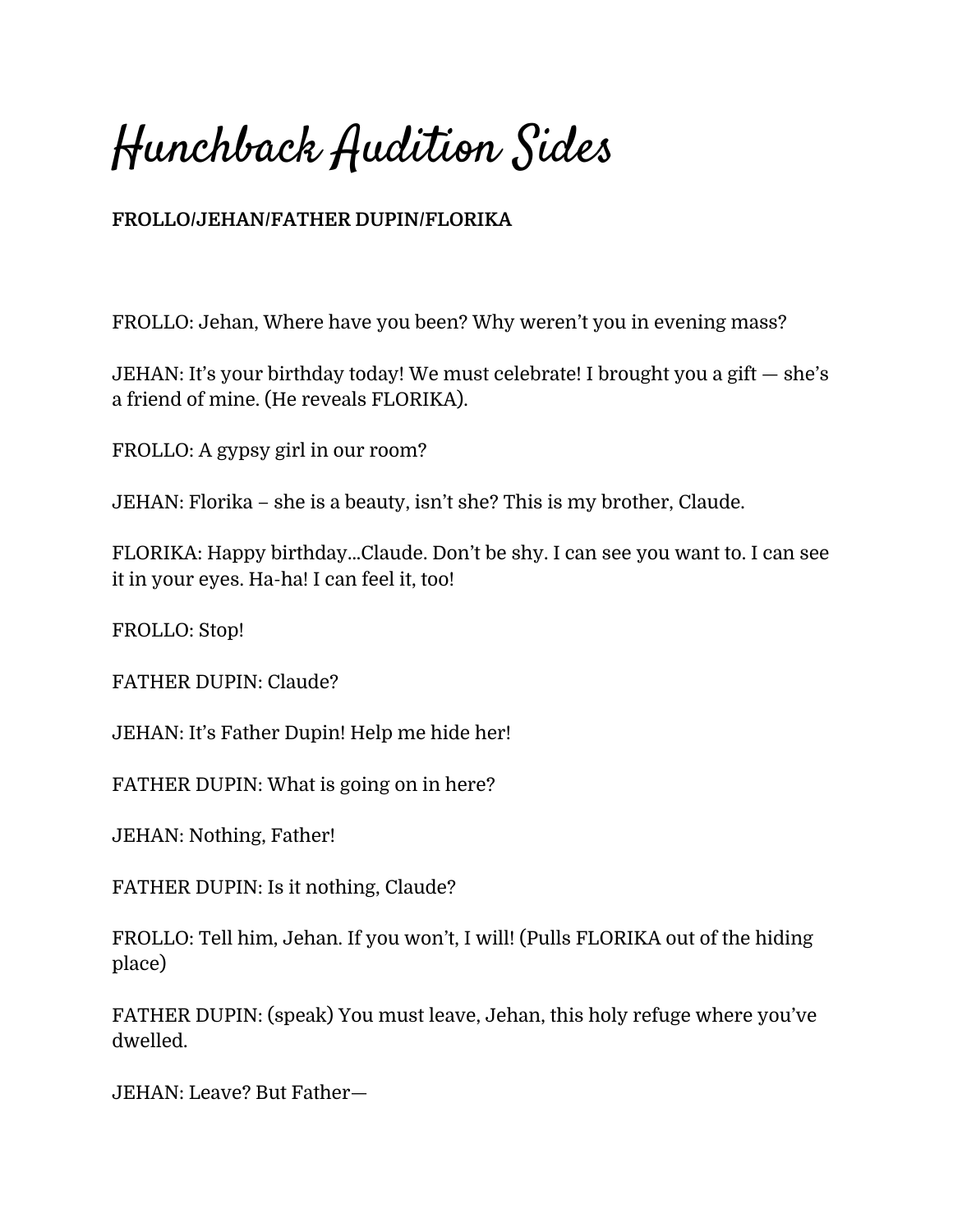Hunchback Audition Sides

## **FROLLO/JEHAN/FATHER DUPIN/FLORIKA**

FROLLO: Jehan, Where have you been? Why weren't you in evening mass?

JEHAN: It's your birthday today! We must celebrate! I brought you a gift — she's a friend of mine. (He reveals FLORIKA).

FROLLO: A gypsy girl in our room?

JEHAN: Florika – she is a beauty, isn't she? This is my brother, Claude.

FLORIKA: Happy birthday...Claude. Don't be shy. I can see you want to. I can see it in your eyes. Ha-ha! I can feel it, too!

FROLLO: Stop!

FATHER DUPIN: Claude?

JEHAN: It's Father Dupin! Help me hide her!

FATHER DUPIN: What is going on in here?

JEHAN: Nothing, Father!

FATHER DUPIN: Is it nothing, Claude?

FROLLO: Tell him, Jehan. If you won't, I will! (Pulls FLORIKA out of the hiding place)

FATHER DUPIN: (speak) You must leave, Jehan, this holy refuge where you've dwelled.

JEHAN: Leave? But Father—